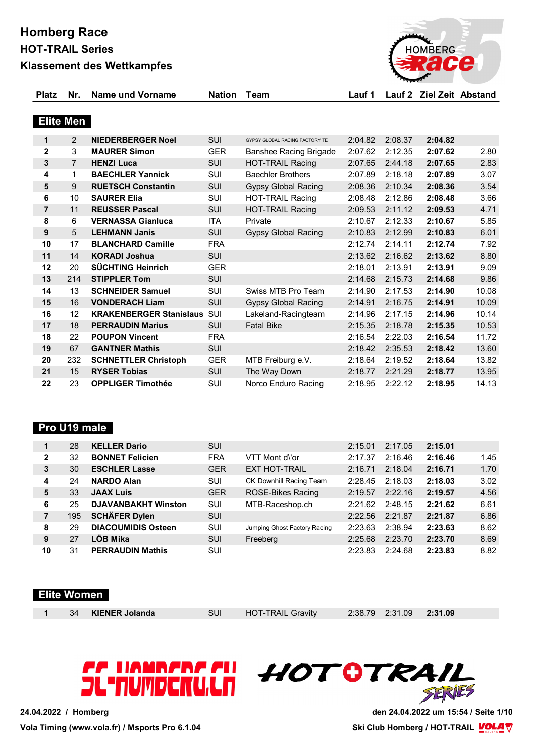**Homberg Race HOT-TRAIL Series**



#### **Klassement des Wettkampfes**

| <b>Platz</b>     | Nr.            | Name und Vorname               | Nation Team |                                | Lauf 1  |         | Lauf 2 Ziel Zeit Abstand |       |
|------------------|----------------|--------------------------------|-------------|--------------------------------|---------|---------|--------------------------|-------|
|                  |                |                                |             |                                |         |         |                          |       |
| <b>Elite Men</b> |                |                                |             |                                |         |         |                          |       |
| 1                | 2              | <b>NIEDERBERGER Noel</b>       | <b>SUI</b>  | GYPSY GLOBAL RACING FACTORY TE | 2:04.82 | 2:08.37 | 2:04.82                  |       |
| $\mathbf{2}$     | 3              | <b>MAURER Simon</b>            | <b>GER</b>  | Banshee Racing Brigade         | 2:07.62 | 2:12.35 | 2:07.62                  | 2.80  |
| 3                | $\overline{7}$ | <b>HENZI Luca</b>              | <b>SUI</b>  | <b>HOT-TRAIL Racing</b>        | 2:07.65 | 2:44.18 | 2:07.65                  | 2.83  |
| 4                | $\mathbf{1}$   | <b>BAECHLER Yannick</b>        | <b>SUI</b>  | <b>Baechler Brothers</b>       | 2:07.89 | 2:18.18 | 2:07.89                  | 3.07  |
| $5\phantom{.0}$  | 9              | <b>RUETSCH Constantin</b>      | <b>SUI</b>  | <b>Gypsy Global Racing</b>     | 2:08.36 | 2:10.34 | 2:08.36                  | 3.54  |
| 6                | 10             | <b>SAURER Elia</b>             | SUI         | <b>HOT-TRAIL Racing</b>        | 2:08.48 | 2:12.86 | 2:08.48                  | 3.66  |
| $\overline{7}$   | 11             | <b>REUSSER Pascal</b>          | SUI         | <b>HOT-TRAIL Racing</b>        | 2:09.53 | 2:11.12 | 2:09.53                  | 4.71  |
| 8                | 6              | <b>VERNASSA Gianluca</b>       | <b>ITA</b>  | Private                        | 2:10.67 | 2:12.33 | 2:10.67                  | 5.85  |
| 9                | 5              | <b>LEHMANN Janis</b>           | <b>SUI</b>  | <b>Gypsy Global Racing</b>     | 2:10.83 | 2:12.99 | 2:10.83                  | 6.01  |
| 10               | 17             | <b>BLANCHARD Camille</b>       | <b>FRA</b>  |                                | 2:12.74 | 2:14.11 | 2:12.74                  | 7.92  |
| 11               | 14             | <b>KORADI Joshua</b>           | <b>SUI</b>  |                                | 2:13.62 | 2:16.62 | 2:13.62                  | 8.80  |
| 12               | 20             | <b>SÜCHTING Heinrich</b>       | <b>GER</b>  |                                | 2:18.01 | 2:13.91 | 2:13.91                  | 9.09  |
| 13               | 214            | <b>STIPPLER Tom</b>            | <b>SUI</b>  |                                | 2:14.68 | 2:15.73 | 2:14.68                  | 9.86  |
| 14               | 13             | <b>SCHNEIDER Samuel</b>        | <b>SUI</b>  | Swiss MTB Pro Team             | 2:14.90 | 2:17.53 | 2:14.90                  | 10.08 |
| 15               | 16             | <b>VONDERACH Liam</b>          | <b>SUI</b>  | <b>Gypsy Global Racing</b>     | 2:14.91 | 2:16.75 | 2:14.91                  | 10.09 |
| 16               | 12             | <b>KRAKENBERGER Stanislaus</b> | SUI         | Lakeland-Racingteam            | 2:14.96 | 2:17.15 | 2:14.96                  | 10.14 |
| 17               | 18             | <b>PERRAUDIN Marius</b>        | <b>SUI</b>  | <b>Fatal Bike</b>              | 2:15.35 | 2:18.78 | 2:15.35                  | 10.53 |
| 18               | 22             | <b>POUPON Vincent</b>          | <b>FRA</b>  |                                | 2:16.54 | 2:22.03 | 2:16.54                  | 11.72 |
| 19               | 67             | <b>GANTNER Mathis</b>          | <b>SUI</b>  |                                | 2:18.42 | 2:35.53 | 2:18.42                  | 13.60 |
| 20               | 232            | <b>SCHNETTLER Christoph</b>    | <b>GER</b>  | MTB Freiburg e.V.              | 2:18.64 | 2:19.52 | 2:18.64                  | 13.82 |
| 21               | 15             | <b>RYSER Tobias</b>            | SUI         | The Way Down                   | 2:18.77 | 2:21.29 | 2:18.77                  | 13.95 |
| 22               | 23             | <b>OPPLIGER Timothée</b>       | <b>SUI</b>  | Norco Enduro Racing            | 2:18.95 | 2:22.12 | 2:18.95                  | 14.13 |

#### **Pro U19 male**

|                | 28  | <b>KELLER Dario</b>        | <b>SUI</b> |                              | 2:15.01 | 2:17.05 | 2:15.01 |      |
|----------------|-----|----------------------------|------------|------------------------------|---------|---------|---------|------|
| $\mathbf{2}$   | 32  | <b>BONNET Felicien</b>     | <b>FRA</b> | VTT Mont d\'or               | 2:17.37 | 2:16.46 | 2:16.46 | 1.45 |
| 3              | 30  | <b>ESCHLER Lasse</b>       | <b>GER</b> | <b>EXT HOT-TRAIL</b>         | 2:16.71 | 2:18.04 | 2:16.71 | 1.70 |
| 4              | 24  | <b>NARDO Alan</b>          | SUI        | CK Downhill Racing Team      | 2:28.45 | 2:18.03 | 2:18.03 | 3.02 |
| 5              | 33  | <b>JAAX Luis</b>           | <b>GER</b> | <b>ROSE-Bikes Racing</b>     | 2:19.57 | 2:22.16 | 2:19.57 | 4.56 |
| 6              | 25  | <b>DJAVANBAKHT Winston</b> | SUI        | MTB-Raceshop.ch              | 2:21.62 | 2:48.15 | 2:21.62 | 6.61 |
| $\overline{7}$ | 195 | <b>SCHÄFER Dylen</b>       | <b>SUI</b> |                              | 2:22.56 | 2:21.87 | 2:21.87 | 6.86 |
| 8              | 29  | <b>DIACOUMIDIS Osteen</b>  | SUI        | Jumping Ghost Factory Racing | 2:23.63 | 2:38.94 | 2:23.63 | 8.62 |
| 9              | 27  | LÖB Mika                   | <b>SUI</b> | Freeberg                     | 2:25.68 | 2:23.70 | 2:23.70 | 8.69 |
| 10             | 31  | <b>PERRAUDIN Mathis</b>    | SUI        |                              | 2:23.83 | 2:24.68 | 2:23.83 | 8.82 |

#### **Elite Women**

|  | 34 KIENER Jolanda | SUI HOT-TRAIL Gravity | 2:38.79 2:31.09 2:31.09 |  |
|--|-------------------|-----------------------|-------------------------|--|
|  |                   |                       |                         |  |

# *CC UAMBER*<br>JL'NUMDER

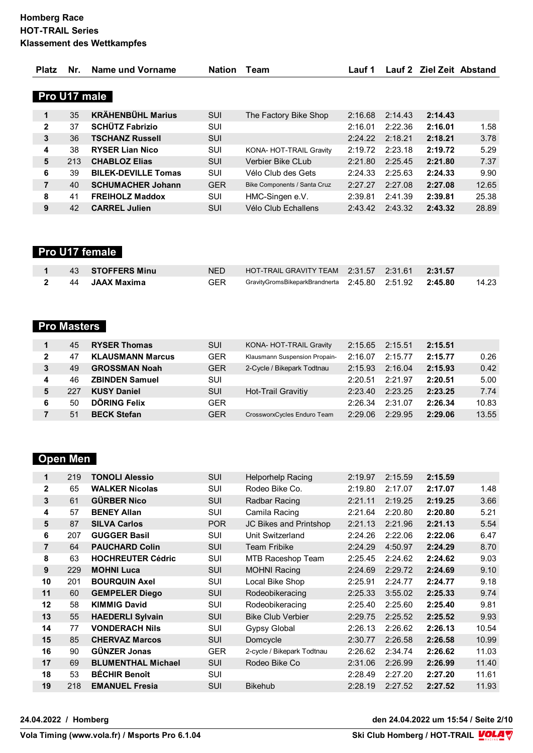| <b>Platz</b>   | Nr. | Name und Vorname           | <b>Nation</b> | Team                         | Lauf 1  |         | Lauf 2 Ziel Zeit Abstand |       |
|----------------|-----|----------------------------|---------------|------------------------------|---------|---------|--------------------------|-------|
|                |     |                            |               |                              |         |         |                          |       |
| Pro U17 male   |     |                            |               |                              |         |         |                          |       |
| 1              | 35  | <b>KRÄHENBÜHL Marius</b>   | <b>SUI</b>    | The Factory Bike Shop        | 2:16.68 | 2:14.43 | 2:14.43                  |       |
| $\mathbf{2}$   | 37  | <b>SCHÜTZ Fabrizio</b>     | <b>SUI</b>    |                              | 2:16.01 | 2:22.36 | 2:16.01                  | 1.58  |
| 3              | 36  | <b>TSCHANZ Russell</b>     | <b>SUI</b>    |                              | 2:24.22 | 2:18.21 | 2:18.21                  | 3.78  |
| 4              | 38  | <b>RYSER Lian Nico</b>     | SUI           | KONA- HOT-TRAIL Gravity      | 2:19.72 | 2:23.18 | 2:19.72                  | 5.29  |
| 5              | 213 | <b>CHABLOZ Elias</b>       | <b>SUI</b>    | Verbier Bike CLub            | 2:21.80 | 2:25.45 | 2:21.80                  | 7.37  |
| 6              | 39  | <b>BILEK-DEVILLE Tomas</b> | <b>SUI</b>    | Vélo Club des Gets           | 2:24.33 | 2:25.63 | 2:24.33                  | 9.90  |
| $\overline{7}$ | 40  | <b>SCHUMACHER Johann</b>   | <b>GER</b>    | Bike Components / Santa Cruz | 2:27.27 | 2:27.08 | 2:27.08                  | 12.65 |
| 8              | 41  | <b>FREIHOLZ Maddox</b>     | <b>SUI</b>    | HMC-Singen e.V.              | 2:39.81 | 2:41.39 | 2:39.81                  | 25.38 |
| 9              | 42  | <b>CARREL Julien</b>       | <b>SUI</b>    | Vélo Club Echallens          | 2:43.42 | 2:43.32 | 2:43.32                  | 28.89 |

# **Pro U17 female**

|  | 1 43 STOFFERS Minu  |                                                            |  |         |
|--|---------------------|------------------------------------------------------------|--|---------|
|  | 2   44  JAAX Maxima | GER GravityGromsBikeparkBrandnerta 2:45.80 2:51.92 2:45.80 |  | - 14.23 |

# **Pro Masters**

|   | 45  | <b>RYSER Thomas</b>     | SUI        | KONA- HOT-TRAIL Gravity       | 2:15.65 | 2:15.51 | 2:15.51 |       |
|---|-----|-------------------------|------------|-------------------------------|---------|---------|---------|-------|
| 2 | 47  | <b>KLAUSMANN Marcus</b> | <b>GER</b> | Klausmann Suspension Propain- | 2:16.07 | 2:15.77 | 2:15.77 | 0.26  |
| 3 | 49  | <b>GROSSMAN Noah</b>    | <b>GER</b> | 2-Cycle / Bikepark Todtnau    | 2:15.93 | 2:16.04 | 2:15.93 | 0.42  |
| 4 | 46  | <b>ZBINDEN Samuel</b>   | SUI        |                               | 2:20.51 | 2:21.97 | 2:20.51 | 5.00  |
| 5 | 227 | <b>KUSY Daniel</b>      | <b>SUI</b> | Hot-Trail Gravitiy            | 2:23.40 | 2:23.25 | 2:23.25 | 7.74  |
| 6 | 50  | DÖRING Felix            | <b>GER</b> |                               | 2:26.34 | 2:31.07 | 2:26.34 | 10.83 |
|   | 51  | <b>BECK Stefan</b>      | <b>GER</b> | CrossworxCycles Enduro Team   | 2:29.06 | 2:29.95 | 2:29.06 | 13.55 |

# **Open Men**

| 1              | 219 | <b>TONOLI Alessio</b>     | <b>SUI</b> | <b>Helporhelp Racing</b>   | 2:19.97 | 2:15.59 | 2:15.59 |       |
|----------------|-----|---------------------------|------------|----------------------------|---------|---------|---------|-------|
| $\overline{2}$ | 65  | <b>WALKER Nicolas</b>     | <b>SUI</b> | Rodeo Bike Co.             | 2:19.80 | 2:17.07 | 2:17.07 | 1.48  |
| 3              | 61  | <b>GÜRBER Nico</b>        | <b>SUI</b> | Radbar Racing              | 2:21.11 | 2:19.25 | 2:19.25 | 3.66  |
| 4              | 57  | <b>BENEY Allan</b>        | <b>SUI</b> | Camila Racing              | 2:21.64 | 2:20.80 | 2:20.80 | 5.21  |
| 5              | 87  | <b>SILVA Carlos</b>       | <b>POR</b> | JC Bikes and Printshop     | 2:21.13 | 2:21.96 | 2:21.13 | 5.54  |
| 6              | 207 | <b>GUGGER Basil</b>       | <b>SUI</b> | Unit Switzerland           | 2:24.26 | 2:22.06 | 2:22.06 | 6.47  |
| $\overline{7}$ | 64  | <b>PAUCHARD Colin</b>     | <b>SUI</b> | <b>Team Fribike</b>        | 2:24.29 | 4:50.97 | 2:24.29 | 8.70  |
| 8              | 63  | <b>HOCHREUTER Cédric</b>  | <b>SUI</b> | MTB Raceshop Team          | 2:25.45 | 2:24.62 | 2:24.62 | 9.03  |
| 9              | 229 | <b>MOHNI Luca</b>         | <b>SUI</b> | <b>MOHNI Racing</b>        | 2:24.69 | 2:29.72 | 2:24.69 | 9.10  |
| 10             | 201 | <b>BOURQUIN Axel</b>      | <b>SUI</b> | Local Bike Shop            | 2:25.91 | 2:24.77 | 2:24.77 | 9.18  |
| 11             | 60  | <b>GEMPELER Diego</b>     | SUI        | Rodeobikeracing            | 2:25.33 | 3:55.02 | 2:25.33 | 9.74  |
| 12             | 58  | <b>KIMMIG David</b>       | <b>SUI</b> | Rodeobikeracing            | 2:25.40 | 2:25.60 | 2:25.40 | 9.81  |
| 13             | 55  | <b>HAEDERLI Sylvain</b>   | <b>SUI</b> | <b>Bike Club Verbier</b>   | 2:29.75 | 2:25.52 | 2:25.52 | 9.93  |
| 14             | 77  | <b>VONDERACH Nils</b>     | <b>SUI</b> | <b>Gypsy Global</b>        | 2:26.13 | 2:26.62 | 2:26.13 | 10.54 |
| 15             | 85  | <b>CHERVAZ Marcos</b>     | <b>SUI</b> | Domcycle                   | 2:30.77 | 2:26.58 | 2:26.58 | 10.99 |
| 16             | 90  | <b>GÜNZER Jonas</b>       | <b>GER</b> | 2-cycle / Bikepark Todtnau | 2:26.62 | 2:34.74 | 2:26.62 | 11.03 |
| 17             | 69  | <b>BLUMENTHAL Michael</b> | <b>SUI</b> | Rodeo Bike Co              | 2:31.06 | 2:26.99 | 2:26.99 | 11.40 |
| 18             | 53  | <b>BÉCHIR Benoît</b>      | <b>SUI</b> |                            | 2:28.49 | 2:27.20 | 2:27.20 | 11.61 |
| 19             | 218 | <b>EMANUEL Fresia</b>     | <b>SUI</b> | <b>Bikehub</b>             | 2:28.19 | 2:27.52 | 2:27.52 | 11.93 |
|                |     |                           |            |                            |         |         |         |       |

**24.04.2022 / Homberg den 24.04.2022 um 15:54 / Seite 2/10**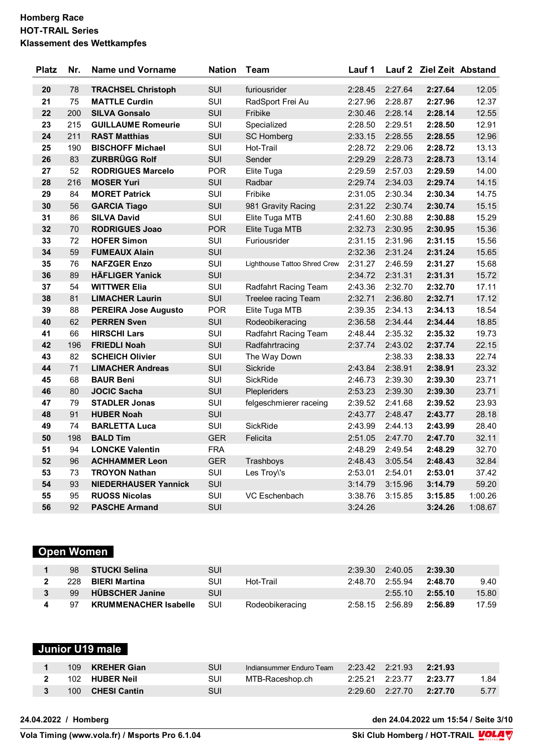| <b>Platz</b> | Nr. | <b>Name und Vorname</b>     | <b>Nation</b> | <b>Team</b>                  | Lauf 1  |         | Lauf 2 Ziel Zeit Abstand |         |
|--------------|-----|-----------------------------|---------------|------------------------------|---------|---------|--------------------------|---------|
| 20           | 78  | <b>TRACHSEL Christoph</b>   | SUI           | furiousrider                 | 2:28.45 | 2:27.64 | 2:27.64                  | 12.05   |
| 21           | 75  | <b>MATTLE Curdin</b>        | SUI           | RadSport Frei Au             | 2:27.96 | 2:28.87 | 2:27.96                  | 12.37   |
| 22           | 200 | <b>SILVA Gonsalo</b>        | SUI           | Fribike                      | 2:30.46 | 2:28.14 | 2:28.14                  | 12.55   |
| 23           | 215 | <b>GUILLAUME Romeurie</b>   | SUI           | Specialized                  | 2:28.50 | 2:29.51 | 2:28.50                  | 12.91   |
| 24           | 211 | <b>RAST Matthias</b>        | SUI           | <b>SC Homberg</b>            | 2:33.15 | 2:28.55 | 2:28.55                  | 12.96   |
| 25           | 190 | <b>BISCHOFF Michael</b>     | SUI           | Hot-Trail                    | 2:28.72 | 2:29.06 | 2:28.72                  | 13.13   |
| 26           | 83  | <b>ZURBRÜGG Rolf</b>        | SUI           | Sender                       | 2:29.29 | 2:28.73 | 2:28.73                  | 13.14   |
| 27           | 52  | <b>RODRIGUES Marcelo</b>    | <b>POR</b>    | Elite Tuga                   | 2:29.59 | 2:57.03 | 2:29.59                  | 14.00   |
| 28           | 216 | <b>MOSER Yuri</b>           | SUI           | Radbar                       | 2:29.74 | 2:34.03 | 2:29.74                  | 14.15   |
| 29           | 84  | <b>MORET Patrick</b>        | SUI           | Fribike                      | 2:31.05 | 2:30.34 | 2:30.34                  | 14.75   |
| 30           | 56  | <b>GARCIA Tiago</b>         | SUI           | 981 Gravity Racing           | 2:31.22 | 2:30.74 | 2:30.74                  | 15.15   |
| 31           | 86  | <b>SILVA David</b>          | SUI           | Elite Tuga MTB               | 2:41.60 | 2:30.88 | 2:30.88                  | 15.29   |
| 32           | 70  | <b>RODRIGUES Joao</b>       | <b>POR</b>    | Elite Tuga MTB               | 2:32.73 | 2:30.95 | 2:30.95                  | 15.36   |
| 33           | 72  | <b>HOFER Simon</b>          | SUI           | Furiousrider                 | 2:31.15 | 2:31.96 | 2:31.15                  | 15.56   |
| 34           | 59  | <b>FUMEAUX Alain</b>        | SUI           |                              | 2:32.36 | 2:31.24 | 2:31.24                  | 15.65   |
| 35           | 76  | <b>NAFZGER Enzo</b>         | SUI           | Lighthouse Tattoo Shred Crew | 2:31.27 | 2:46.59 | 2:31.27                  | 15.68   |
| 36           | 89  | <b>HÄFLIGER Yanick</b>      | SUI           |                              | 2:34.72 | 2:31.31 | 2:31.31                  | 15.72   |
| 37           | 54  | <b>WITTWER Elia</b>         | SUI           | Radfahrt Racing Team         | 2:43.36 | 2:32.70 | 2:32.70                  | 17.11   |
| 38           | 81  | <b>LIMACHER Laurin</b>      | SUI           | <b>Treelee racing Team</b>   | 2:32.71 | 2:36.80 | 2:32.71                  | 17.12   |
| 39           | 88  | <b>PEREIRA Jose Augusto</b> | <b>POR</b>    | Elite Tuga MTB               | 2:39.35 | 2:34.13 | 2:34.13                  | 18.54   |
| 40           | 62  | <b>PERREN Sven</b>          | SUI           | Rodeobikeracing              | 2:36.58 | 2:34.44 | 2:34.44                  | 18.85   |
| 41           | 66  | <b>HIRSCHI Lars</b>         | SUI           | Radfahrt Racing Team         | 2:48.44 | 2:35.32 | 2:35.32                  | 19.73   |
| 42           | 196 | <b>FRIEDLI Noah</b>         | SUI           | Radfahrtracing               | 2:37.74 | 2:43.02 | 2:37.74                  | 22.15   |
| 43           | 82  | <b>SCHEICH Olivier</b>      | SUI           | The Way Down                 |         | 2:38.33 | 2:38.33                  | 22.74   |
| 44           | 71  | <b>LIMACHER Andreas</b>     | SUI           | Sickride                     | 2:43.84 | 2:38.91 | 2:38.91                  | 23.32   |
| 45           | 68  | <b>BAUR Beni</b>            | SUI           | <b>SickRide</b>              | 2:46.73 | 2:39.30 | 2:39.30                  | 23.71   |
| 46           | 80  | <b>JOCIC Sacha</b>          | SUI           | Plepleriders                 | 2:53.23 | 2:39.30 | 2:39.30                  | 23.71   |
| 47           | 79  | <b>STADLER Jonas</b>        | SUI           | felgeschmierer raceing       | 2:39.52 | 2:41.68 | 2:39.52                  | 23.93   |
| 48           | 91  | <b>HUBER Noah</b>           | <b>SUI</b>    |                              | 2:43.77 | 2:48.47 | 2:43.77                  | 28.18   |
| 49           | 74  | <b>BARLETTA Luca</b>        | SUI           | SickRide                     | 2:43.99 | 2:44.13 | 2:43.99                  | 28.40   |
| 50           | 198 | <b>BALD Tim</b>             | <b>GER</b>    | Felicita                     | 2:51.05 | 2:47.70 | 2:47.70                  | 32.11   |
| 51           | 94  | <b>LONCKE Valentin</b>      | <b>FRA</b>    |                              | 2:48.29 | 2:49.54 | 2:48.29                  | 32.70   |
| 52           | 96  | <b>ACHHAMMER Leon</b>       | <b>GER</b>    | Trashboys                    | 2:48.43 | 3:05.54 | 2:48.43                  | 32.84   |
| 53           | 73  | <b>TROYON Nathan</b>        | SUI           | Les Troy\'s                  | 2:53.01 | 2:54.01 | 2:53.01                  | 37.42   |
| 54           | 93  | <b>NIEDERHAUSER Yannick</b> | SUI           |                              | 3:14.79 | 3:15.96 | 3:14.79                  | 59.20   |
| 55           | 95  | <b>RUOSS Nicolas</b>        | SUI           | VC Eschenbach                | 3:38.76 | 3:15.85 | 3:15.85                  | 1:00.26 |
| 56           | 92  | <b>PASCHE Armand</b>        | SUI           |                              | 3:24.26 |         | 3:24.26                  | 1:08.67 |

# **Open Women**

| 98  | STUCKI Selina                | SUI |                 | 2:39.30 | 2:40.05         | 2:39.30 |       |
|-----|------------------------------|-----|-----------------|---------|-----------------|---------|-------|
| 228 | <b>BIERI Martina</b>         | SUI | Hot-Trail       | 2:48.70 | 2:55.94         | 2:48.70 | 9.40  |
| 99  | <b>HÜBSCHER Janine</b>       | SUI |                 |         | 2:55.10         | 2:55.10 | 15.80 |
| 97  | <b>KRUMMENACHER Isabelle</b> | SUI | Rodeobikeracing |         | 2:58.15 2:56.89 | 2:56.89 | 17.59 |

# **Junior U19 male**

| 109. | <b>KREHER Gian</b>  | SUI | Indiansummer Enduro Team 2:23.42 2:21.93 2:21.93 |                         |      |
|------|---------------------|-----|--------------------------------------------------|-------------------------|------|
|      | 102 HUBER Neil      | SUI | MTB-Raceshop.ch                                  | 2:25.21 2:23.77 2:23.77 | 1.84 |
| 100  | <b>CHESI Cantin</b> | SUI |                                                  | 2:29.60 2:27.70 2:27.70 | 5.77 |

**24.04.2022 / Homberg den 24.04.2022 um 15:54 / Seite 3/10**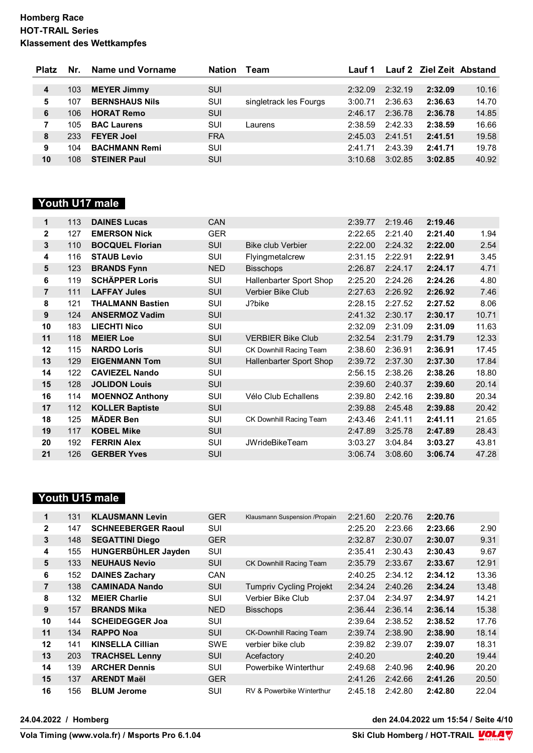| <b>Platz</b> | Nr. | Name und Vorname      | <b>Nation</b> | Team                   | Lauf 1  |         | Lauf 2 Ziel Zeit Abstand |       |
|--------------|-----|-----------------------|---------------|------------------------|---------|---------|--------------------------|-------|
|              |     |                       |               |                        |         |         |                          |       |
| 4            | 103 | <b>MEYER Jimmy</b>    | SUI           |                        | 2:32.09 | 2:32.19 | 2:32.09                  | 10.16 |
| 5            | 107 | <b>BERNSHAUS Nils</b> | SUI           | singletrack les Fourgs | 3:00.71 | 2:36.63 | 2:36.63                  | 14.70 |
| 6            | 106 | <b>HORAT Remo</b>     | SUI           |                        | 2:46.17 | 2:36.78 | 2:36.78                  | 14.85 |
|              | 105 | <b>BAC Laurens</b>    | SUI           | Laurens                | 2:38.59 | 2:42.33 | 2:38.59                  | 16.66 |
| 8            | 233 | <b>FEYER Joel</b>     | <b>FRA</b>    |                        | 2:45.03 | 2:41.51 | 2:41.51                  | 19.58 |
| 9            | 104 | <b>BACHMANN Remi</b>  | SUI           |                        | 2:41.71 | 2:43.39 | 2:41.71                  | 19.78 |
| 10           | 108 | <b>STEINER Paul</b>   | SUI           |                        | 3:10.68 | 3:02.85 | 3:02.85                  | 40.92 |

# **Youth U17 male**

| 113 | <b>DAINES Lucas</b>     | <b>CAN</b> |                          | 2:39.77 | 2:19.46 | 2:19.46 |       |
|-----|-------------------------|------------|--------------------------|---------|---------|---------|-------|
| 127 | <b>EMERSON Nick</b>     | <b>GER</b> |                          | 2:22.65 | 2:21.40 | 2:21.40 | 1.94  |
| 110 | <b>BOCQUEL Florian</b>  | <b>SUI</b> | <b>Bike club Verbier</b> | 2:22.00 | 2:24.32 | 2:22.00 | 2.54  |
| 116 | <b>STAUB Levio</b>      | SUI        | Flyingmetalcrew          | 2:31.15 | 2:22.91 | 2:22.91 | 3.45  |
| 123 | <b>BRANDS Fynn</b>      | <b>NED</b> | <b>Bisschops</b>         | 2:26.87 | 2:24.17 | 2:24.17 | 4.71  |
| 119 | <b>SCHÄPPER Loris</b>   | <b>SUI</b> | Hallenbarter Sport Shop  | 2:25.20 | 2:24.26 | 2:24.26 | 4.80  |
| 111 | <b>LAFFAY Jules</b>     | <b>SUI</b> | Verbier Bike Club        | 2:27.63 | 2:26.92 | 2:26.92 | 7.46  |
| 121 | <b>THALMANN Bastien</b> | <b>SUI</b> | J?bike                   | 2:28.15 | 2:27.52 | 2:27.52 | 8.06  |
| 124 | <b>ANSERMOZ Vadim</b>   | <b>SUI</b> |                          | 2:41.32 | 2:30.17 | 2:30.17 | 10.71 |
| 183 | <b>LIECHTI Nico</b>     | <b>SUI</b> |                          | 2:32.09 | 2:31.09 | 2:31.09 | 11.63 |
| 118 | <b>MEIER Loe</b>        | <b>SUI</b> | <b>VERBIER Bike Club</b> | 2:32.54 | 2:31.79 | 2:31.79 | 12.33 |
| 115 | <b>NARDO Loris</b>      | <b>SUI</b> | CK Downhill Racing Team  | 2:38.60 | 2:36.91 | 2:36.91 | 17.45 |
| 129 | <b>EIGENMANN Tom</b>    | <b>SUI</b> | Hallenbarter Sport Shop  | 2:39.72 | 2:37.30 | 2:37.30 | 17.84 |
| 122 | <b>CAVIEZEL Nando</b>   | <b>SUI</b> |                          | 2:56.15 | 2:38.26 | 2:38.26 | 18.80 |
| 128 | <b>JOLIDON Louis</b>    | <b>SUI</b> |                          | 2:39.60 | 2:40.37 | 2:39.60 | 20.14 |
| 114 | <b>MOENNOZ Anthony</b>  | <b>SUI</b> | Vélo Club Echallens      | 2:39.80 | 2:42.16 | 2:39.80 | 20.34 |
| 112 | <b>KOLLER Baptiste</b>  | <b>SUI</b> |                          | 2:39.88 | 2:45.48 | 2:39.88 | 20.42 |
| 125 | <b>MÄDER Ben</b>        | <b>SUI</b> | CK Downhill Racing Team  | 2:43.46 | 2:41.11 | 2:41.11 | 21.65 |
| 117 | <b>KOBEL Mike</b>       | <b>SUI</b> |                          | 2:47.89 | 3:25.78 | 2:47.89 | 28.43 |
| 192 | <b>FERRIN Alex</b>      | <b>SUI</b> | <b>JWrideBikeTeam</b>    | 3:03.27 | 3:04.84 | 3:03.27 | 43.81 |
| 126 | <b>GERBER Yves</b>      | SUI        |                          | 3:06.74 | 3:08.60 | 3:06.74 | 47.28 |
|     |                         |            |                          |         |         |         |       |

# **Youth U15 male**

| 1              | 131 | <b>KLAUSMANN Levin</b>    | <b>GER</b> | Klausmann Suspension /Propain  | 2:21.60 | 2:20.76 | 2:20.76 |       |
|----------------|-----|---------------------------|------------|--------------------------------|---------|---------|---------|-------|
| 2              | 147 | <b>SCHNEEBERGER Raoul</b> | SUI        |                                | 2:25.20 | 2:23.66 | 2:23.66 | 2.90  |
| 3              | 148 | <b>SEGATTINI Diego</b>    | <b>GER</b> |                                | 2:32.87 | 2:30.07 | 2:30.07 | 9.31  |
| 4              | 155 | HUNGERBÜHLER Jayden       | SUI        |                                | 2:35.41 | 2:30.43 | 2:30.43 | 9.67  |
| 5              | 133 | <b>NEUHAUS Nevio</b>      | <b>SUI</b> | CK Downhill Racing Team        | 2:35.79 | 2:33.67 | 2:33.67 | 12.91 |
| 6              | 152 | <b>DAINES Zachary</b>     | <b>CAN</b> |                                | 2:40.25 | 2:34.12 | 2:34.12 | 13.36 |
| $\overline{7}$ | 138 | <b>CAMINADA Nando</b>     | <b>SUI</b> | <b>Tumpriv Cycling Projekt</b> | 2:34.24 | 2:40.26 | 2:34.24 | 13.48 |
| 8              | 132 | <b>MEIER Charlie</b>      | SUI        | Verbier Bike Club              | 2:37.04 | 2:34.97 | 2:34.97 | 14.21 |
| 9              | 157 | <b>BRANDS Mika</b>        | <b>NED</b> | <b>Bisschops</b>               | 2:36.44 | 2:36.14 | 2:36.14 | 15.38 |
| 10             | 144 | <b>SCHEIDEGGER Joa</b>    | SUI        |                                | 2:39.64 | 2:38.52 | 2:38.52 | 17.76 |
| 11             | 134 | <b>RAPPO Noa</b>          | <b>SUI</b> | <b>CK-Downhill Racing Team</b> | 2:39.74 | 2:38.90 | 2:38.90 | 18.14 |
| 12             | 141 | <b>KINSELLA Cillian</b>   | <b>SWE</b> | verbier bike club              | 2:39.82 | 2:39.07 | 2:39.07 | 18.31 |
| 13             | 203 | <b>TRACHSEL Lenny</b>     | <b>SUI</b> | Acefactory                     | 2:40.20 |         | 2:40.20 | 19.44 |
| 14             | 139 | <b>ARCHER Dennis</b>      | SUI        | Powerbike Winterthur           | 2:49.68 | 2:40.96 | 2:40.96 | 20.20 |
| 15             | 137 | <b>ARENDT Maël</b>        | <b>GER</b> |                                | 2:41.26 | 2:42.66 | 2:41.26 | 20.50 |
| 16             | 156 | <b>BLUM Jerome</b>        | SUI        | RV & Powerbike Winterthur      | 2:45.18 | 2:42.80 | 2:42.80 | 22.04 |

**24.04.2022 / Homberg den 24.04.2022 um 15:54 / Seite 4/10**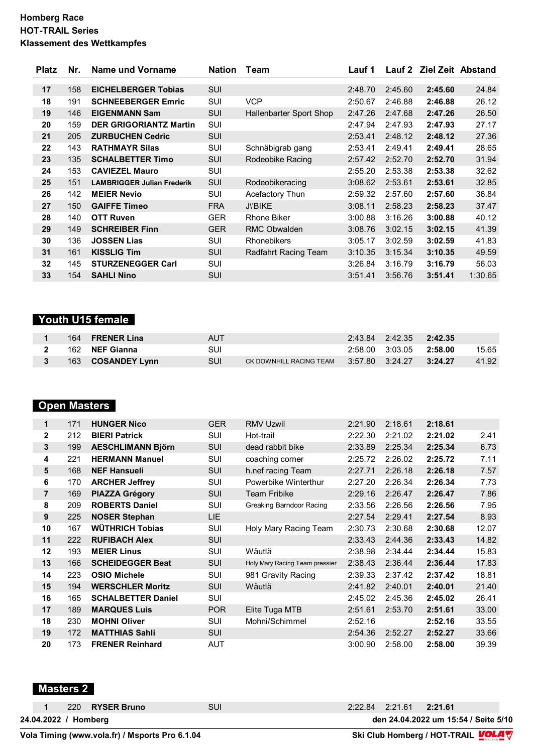| <b>Platz</b> | Nr. | Name und Vorname                  | <b>Nation</b> | Team                    | Lauf 1  |         | Lauf 2 Ziel Zeit Abstand |         |
|--------------|-----|-----------------------------------|---------------|-------------------------|---------|---------|--------------------------|---------|
|              |     |                                   |               |                         |         |         |                          |         |
| 17           | 158 | <b>EICHELBERGER Tobias</b>        | <b>SUI</b>    |                         | 2:48.70 | 2:45.60 | 2:45.60                  | 24.84   |
| 18           | 191 | <b>SCHNEEBERGER Emric</b>         | SUI           | <b>VCP</b>              | 2:50.67 | 2:46.88 | 2:46.88                  | 26.12   |
| 19           | 146 | <b>EIGENMANN Sam</b>              | SUI           | Hallenbarter Sport Shop | 2:47.26 | 2:47.68 | 2:47.26                  | 26.50   |
| 20           | 159 | <b>DER GRIGORIANTZ Martin</b>     | <b>SUI</b>    |                         | 2:47.94 | 2:47.93 | 2:47.93                  | 27.17   |
| 21           | 205 | <b>ZURBUCHEN Cedric</b>           | <b>SUI</b>    |                         | 2:53.41 | 2:48.12 | 2:48.12                  | 27.36   |
| 22           | 143 | <b>RATHMAYR Silas</b>             | SUI           | Schnäbigrab gang        | 2:53.41 | 2:49.41 | 2:49.41                  | 28.65   |
| 23           | 135 | <b>SCHALBETTER Timo</b>           | SUI           | Rodeobike Racing        | 2:57.42 | 2:52.70 | 2:52.70                  | 31.94   |
| 24           | 153 | <b>CAVIEZEL Mauro</b>             | SUI           |                         | 2:55.20 | 2:53.38 | 2:53.38                  | 32.62   |
| 25           | 151 | <b>LAMBRIGGER Julian Frederik</b> | SUI           | Rodeobikeracing         | 3:08.62 | 2:53.61 | 2:53.61                  | 32.85   |
| 26           | 142 | <b>MEIER Nevio</b>                | SUI           | Acefactory Thun         | 2:59.32 | 2:57.60 | 2:57.60                  | 36.84   |
| 27           | 150 | <b>GAIFFE Timeo</b>               | <b>FRA</b>    | <b>J\'BIKE</b>          | 3:08.11 | 2:58.23 | 2:58.23                  | 37.47   |
| 28           | 140 | <b>OTT Ruven</b>                  | <b>GER</b>    | Rhone Biker             | 3:00.88 | 3:16.26 | 3:00.88                  | 40.12   |
| 29           | 149 | <b>SCHREIBER Finn</b>             | <b>GER</b>    | <b>RMC Obwalden</b>     | 3:08.76 | 3:02.15 | 3:02.15                  | 41.39   |
| 30           | 136 | <b>JOSSEN Lias</b>                | SUI           | <b>Rhonebikers</b>      | 3:05.17 | 3:02.59 | 3:02.59                  | 41.83   |
| 31           | 161 | <b>KISSLIG Tim</b>                | SUI           | Radfahrt Racing Team    | 3:10.35 | 3:15.34 | 3:10.35                  | 49.59   |
| 32           | 145 | <b>STURZENEGGER Carl</b>          | SUI           |                         | 3:26.84 | 3:16.79 | 3:16.79                  | 56.03   |
| 33           | 154 | <b>SAHLI Nino</b>                 | SUI           |                         | 3:51.41 | 3:56.76 | 3:51.41                  | 1:30.65 |

# **Youth U15 female**

|  | 164 FRENER Lina          | AUT |                                                 | 2:43.84 2:42.35 2:42.35       |       |
|--|--------------------------|-----|-------------------------------------------------|-------------------------------|-------|
|  | 162 NEF Gianna           | SUI |                                                 | $2:58.00$ $3:03.05$ $2:58.00$ | 15.65 |
|  | 163 <b>COSANDEY Lynn</b> | SUI | CK DOWNHILL RACING TEAM 3:57.80 3:24.27 3:24.27 |                               | 41.92 |

# **Open Masters**

| 1              | 171 | <b>HUNGER Nico</b>        | <b>GER</b> | <b>RMV Uzwil</b>               | 2:21.90 | 2:18.61 | 2:18.61 |       |
|----------------|-----|---------------------------|------------|--------------------------------|---------|---------|---------|-------|
| $\mathbf{2}$   | 212 | <b>BIERI Patrick</b>      | SUI        | Hot-trail                      | 2:22.30 | 2:21.02 | 2:21.02 | 2.41  |
| 3              | 199 | <b>AESCHLIMANN Björn</b>  | <b>SUI</b> | dead rabbit bike               | 2:33.89 | 2:25.34 | 2:25.34 | 6.73  |
| 4              | 221 | <b>HERMANN Manuel</b>     | SUI        | coaching corner                | 2:25.72 | 2:26.02 | 2:25.72 | 7.11  |
| 5              | 168 | <b>NEF Hansueli</b>       | SUI        | h.nef racing Team              | 2:27.71 | 2:26.18 | 2:26.18 | 7.57  |
| 6              | 170 | <b>ARCHER Jeffrey</b>     | SUI        | Powerbike Winterthur           | 2:27.20 | 2:26.34 | 2:26.34 | 7.73  |
| $\overline{7}$ | 169 | <b>PIAZZA Grégory</b>     | <b>SUI</b> | <b>Team Fribike</b>            | 2:29.16 | 2:26.47 | 2:26.47 | 7.86  |
| 8              | 209 | <b>ROBERTS Daniel</b>     | SUI        | Greaking Barndoor Racing       | 2:33.56 | 2:26.56 | 2:26.56 | 7.95  |
| 9              | 225 | <b>NOSER Stephan</b>      | <b>LIE</b> |                                | 2:27.54 | 2:29.41 | 2:27.54 | 8.93  |
| 10             | 167 | <b>WÜTHRICH Tobias</b>    | SUI        | Holy Mary Racing Team          | 2:30.73 | 2:30.68 | 2:30.68 | 12.07 |
| 11             | 222 | <b>RUFIBACH Alex</b>      | <b>SUI</b> |                                | 2:33.43 | 2:44.36 | 2:33.43 | 14.82 |
| 12             | 193 | <b>MEIER Linus</b>        | SUI        | Wäutlä                         | 2:38.98 | 2:34.44 | 2:34.44 | 15.83 |
| 13             | 166 | <b>SCHEIDEGGER Beat</b>   | <b>SUI</b> | Holy Mary Racing Team pressier | 2:38.43 | 2:36.44 | 2:36.44 | 17.83 |
| 14             | 223 | <b>OSIO Michele</b>       | SUI        | 981 Gravity Racing             | 2:39.33 | 2:37.42 | 2:37.42 | 18.81 |
| 15             | 194 | <b>WERSCHLER Moritz</b>   | SUI        | Wäutlä                         | 2:41.82 | 2:40.01 | 2:40.01 | 21.40 |
| 16             | 165 | <b>SCHALBETTER Daniel</b> | SUI        |                                | 2:45.02 | 2:45.36 | 2:45.02 | 26.41 |
| 17             | 189 | <b>MARQUES Luis</b>       | POR        | Elite Tuga MTB                 | 2:51.61 | 2:53.70 | 2:51.61 | 33.00 |
| 18             | 230 | <b>MOHNI Oliver</b>       | <b>SUI</b> | Mohni/Schimmel                 | 2:52.16 |         | 2:52.16 | 33.55 |
| 19             | 172 | <b>MATTHIAS Sahli</b>     | SUI        |                                | 2:54.36 | 2:52.27 | 2:52.27 | 33.66 |
| 20             | 173 | <b>FRENER Reinhard</b>    | <b>AUT</b> |                                | 3:00.90 | 2:58.00 | 2:58.00 | 39.39 |

```
 Masters 2
```

```
24.04.2022 / Homberg den 24.04.2022 um 15:54 / Seite 5/10
1 220 RYSER Bruno SUI 2:22.84 2:21.61 2:21.61
```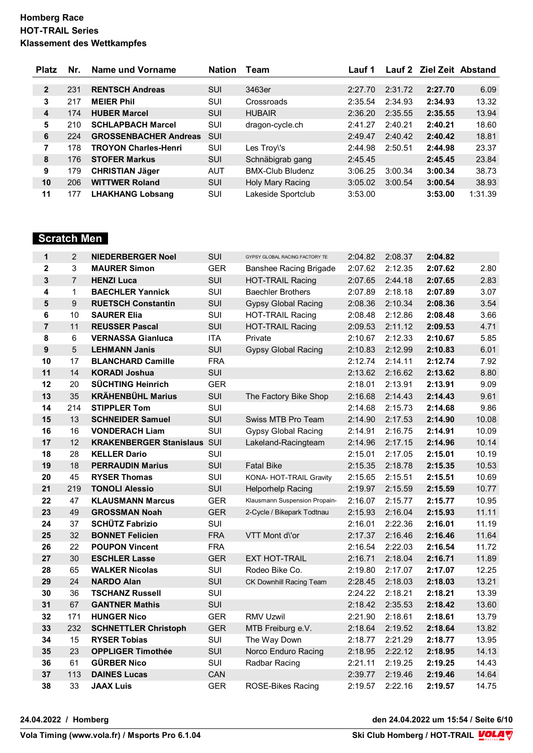| <b>Platz</b>   | Nr. | Name und Vorname             | <b>Nation</b> | Team                    | Lauf 1  |         | Lauf 2 Ziel Zeit Abstand |         |
|----------------|-----|------------------------------|---------------|-------------------------|---------|---------|--------------------------|---------|
|                |     |                              |               |                         |         |         |                          |         |
| $\overline{2}$ | 231 | <b>RENTSCH Andreas</b>       | <b>SUI</b>    | 3463er                  | 2:27.70 | 2:31.72 | 2:27.70                  | 6.09    |
| 3              | 217 | <b>MEIER Phil</b>            | SUI           | Crossroads              | 2:35.54 | 2:34.93 | 2:34.93                  | 13.32   |
| 4              | 174 | <b>HUBER Marcel</b>          | <b>SUI</b>    | <b>HUBAIR</b>           | 2:36.20 | 2:35.55 | 2:35.55                  | 13.94   |
| 5              | 210 | <b>SCHLAPBACH Marcel</b>     | SUI           | dragon-cycle.ch         | 2:41.27 | 2:40.21 | 2:40.21                  | 18.60   |
| 6              | 224 | <b>GROSSENBACHER Andreas</b> | SUI           |                         | 2:49.47 | 2:40.42 | 2:40.42                  | 18.81   |
| 7              | 178 | <b>TROYON Charles-Henri</b>  | SUI           | Les Troy\'s             | 2:44.98 | 2:50.51 | 2:44.98                  | 23.37   |
| 8              | 176 | <b>STOFER Markus</b>         | SUI           | Schnäbigrab gang        | 2:45.45 |         | 2:45.45                  | 23.84   |
| 9              | 179 | <b>CHRISTIAN Jäger</b>       | <b>AUT</b>    | <b>BMX-Club Bludenz</b> | 3:06.25 | 3:00.34 | 3:00.34                  | 38.73   |
| 10             | 206 | <b>WITTWER Roland</b>        | SUI           | Holy Mary Racing        | 3:05.02 | 3:00.54 | 3:00.54                  | 38.93   |
| 11             | 177 | <b>LHAKHANG Lobsang</b>      | SUI           | Lakeside Sportclub      | 3:53.00 |         | 3:53.00                  | 1:31.39 |

# **Scratch Men**

| 1                       | $\overline{2}$ | <b>NIEDERBERGER Noel</b>           | SUI        | GYPSY GLOBAL RACING FACTORY TE | 2:04.82 | 2:08.37 | 2:04.82 |       |
|-------------------------|----------------|------------------------------------|------------|--------------------------------|---------|---------|---------|-------|
| $\mathbf 2$             | 3              | <b>MAURER Simon</b>                | <b>GER</b> | Banshee Racing Brigade         | 2:07.62 | 2:12.35 | 2:07.62 | 2.80  |
| 3                       | $\overline{7}$ | <b>HENZI Luca</b>                  | SUI        | <b>HOT-TRAIL Racing</b>        | 2:07.65 | 2:44.18 | 2:07.65 | 2.83  |
| 4                       | 1              | <b>BAECHLER Yannick</b>            | SUI        | <b>Baechler Brothers</b>       | 2:07.89 | 2:18.18 | 2:07.89 | 3.07  |
| $\overline{\mathbf{5}}$ | 9              | <b>RUETSCH Constantin</b>          | SUI        | <b>Gypsy Global Racing</b>     | 2:08.36 | 2:10.34 | 2:08.36 | 3.54  |
| 6                       | 10             | <b>SAURER Elia</b>                 | SUI        | <b>HOT-TRAIL Racing</b>        | 2:08.48 | 2:12.86 | 2:08.48 | 3.66  |
| $\overline{7}$          | 11             | <b>REUSSER Pascal</b>              | SUI        | <b>HOT-TRAIL Racing</b>        | 2:09.53 | 2:11.12 | 2:09.53 | 4.71  |
| 8                       | 6              | <b>VERNASSA Gianluca</b>           | <b>ITA</b> | Private                        | 2:10.67 | 2:12.33 | 2:10.67 | 5.85  |
| $\boldsymbol{9}$        | $\overline{5}$ | <b>LEHMANN Janis</b>               | SUI        | <b>Gypsy Global Racing</b>     | 2:10.83 | 2:12.99 | 2:10.83 | 6.01  |
| 10                      | 17             | <b>BLANCHARD Camille</b>           | <b>FRA</b> |                                | 2:12.74 | 2:14.11 | 2:12.74 | 7.92  |
| 11                      | 14             | <b>KORADI Joshua</b>               | SUI        |                                | 2:13.62 | 2:16.62 | 2:13.62 | 8.80  |
| 12                      | 20             | <b>SÜCHTING Heinrich</b>           | <b>GER</b> |                                | 2:18.01 | 2:13.91 | 2:13.91 | 9.09  |
| 13                      | 35             | <b>KRÄHENBÜHL Marius</b>           | SUI        | The Factory Bike Shop          | 2:16.68 | 2:14.43 | 2:14.43 | 9.61  |
| 14                      | 214            | <b>STIPPLER Tom</b>                | SUI        |                                | 2:14.68 | 2:15.73 | 2:14.68 | 9.86  |
| 15                      | 13             | <b>SCHNEIDER Samuel</b>            | SUI        | Swiss MTB Pro Team             | 2:14.90 | 2:17.53 | 2:14.90 | 10.08 |
| 16                      | 16             | <b>VONDERACH Liam</b>              | SUI        | <b>Gypsy Global Racing</b>     | 2:14.91 | 2:16.75 | 2:14.91 | 10.09 |
| 17                      | 12             | <b>KRAKENBERGER Stanislaus SUI</b> |            | Lakeland-Racingteam            | 2:14.96 | 2:17.15 | 2:14.96 | 10.14 |
| 18                      | 28             | <b>KELLER Dario</b>                | SUI        |                                | 2:15.01 | 2:17.05 | 2:15.01 | 10.19 |
| 19                      | 18             | <b>PERRAUDIN Marius</b>            | SUI        | <b>Fatal Bike</b>              | 2:15.35 | 2:18.78 | 2:15.35 | 10.53 |
| 20                      | 45             | <b>RYSER Thomas</b>                | <b>SUI</b> | KONA- HOT-TRAIL Gravity        | 2:15.65 | 2:15.51 | 2:15.51 | 10.69 |
| 21                      | 219            | <b>TONOLI Alessio</b>              | SUI        | <b>Helporhelp Racing</b>       | 2:19.97 | 2:15.59 | 2:15.59 | 10.77 |
| 22                      | 47             | <b>KLAUSMANN Marcus</b>            | <b>GER</b> | Klausmann Suspension Propain-  | 2:16.07 | 2:15.77 | 2:15.77 | 10.95 |
| 23                      | 49             | <b>GROSSMAN Noah</b>               | <b>GER</b> | 2-Cycle / Bikepark Todtnau     | 2:15.93 | 2:16.04 | 2:15.93 | 11.11 |
| 24                      | 37             | <b>SCHÜTZ Fabrizio</b>             | SUI        |                                | 2:16.01 | 2:22.36 | 2:16.01 | 11.19 |
| 25                      | 32             | <b>BONNET Felicien</b>             | <b>FRA</b> | VTT Mont d\'or                 | 2:17.37 | 2:16.46 | 2:16.46 | 11.64 |
| 26                      | 22             | <b>POUPON Vincent</b>              | <b>FRA</b> |                                | 2:16.54 | 2:22.03 | 2:16.54 | 11.72 |
| 27                      | 30             | <b>ESCHLER Lasse</b>               | <b>GER</b> | <b>EXT HOT-TRAIL</b>           | 2:16.71 | 2:18.04 | 2:16.71 | 11.89 |
| 28                      | 65             | <b>WALKER Nicolas</b>              | SUI        | Rodeo Bike Co.                 | 2:19.80 | 2:17.07 | 2:17.07 | 12.25 |
| 29                      | 24             | <b>NARDO Alan</b>                  | SUI        | CK Downhill Racing Team        | 2:28.45 | 2:18.03 | 2:18.03 | 13.21 |
| 30                      | 36             | <b>TSCHANZ Russell</b>             | SUI        |                                | 2:24.22 | 2:18.21 | 2:18.21 | 13.39 |
| 31                      | 67             | <b>GANTNER Mathis</b>              | SUI        |                                | 2:18.42 | 2:35.53 | 2:18.42 | 13.60 |
| 32                      | 171            | <b>HUNGER Nico</b>                 | <b>GER</b> | <b>RMV Uzwil</b>               | 2:21.90 | 2:18.61 | 2:18.61 | 13.79 |
| 33                      | 232            | <b>SCHNETTLER Christoph</b>        | <b>GER</b> | MTB Freiburg e.V.              | 2:18.64 | 2:19.52 | 2:18.64 | 13.82 |
| 34                      | 15             | <b>RYSER Tobias</b>                | SUI        | The Way Down                   | 2:18.77 | 2:21.29 | 2:18.77 | 13.95 |
| 35                      | 23             | <b>OPPLIGER Timothée</b>           | SUI        | Norco Enduro Racing            | 2:18.95 | 2:22.12 | 2:18.95 | 14.13 |
| 36                      | 61             | <b>GÜRBER Nico</b>                 | SUI        | <b>Radbar Racing</b>           | 2:21.11 | 2:19.25 | 2:19.25 | 14.43 |
| 37                      | 113            | <b>DAINES Lucas</b>                | CAN        |                                | 2:39.77 | 2:19.46 | 2:19.46 | 14.64 |
| 38                      | 33             | <b>JAAX Luis</b>                   | <b>GER</b> | ROSE-Bikes Racing              | 2:19.57 | 2:22.16 | 2:19.57 | 14.75 |

**24.04.2022 / Homberg den 24.04.2022 um 15:54 / Seite 6/10**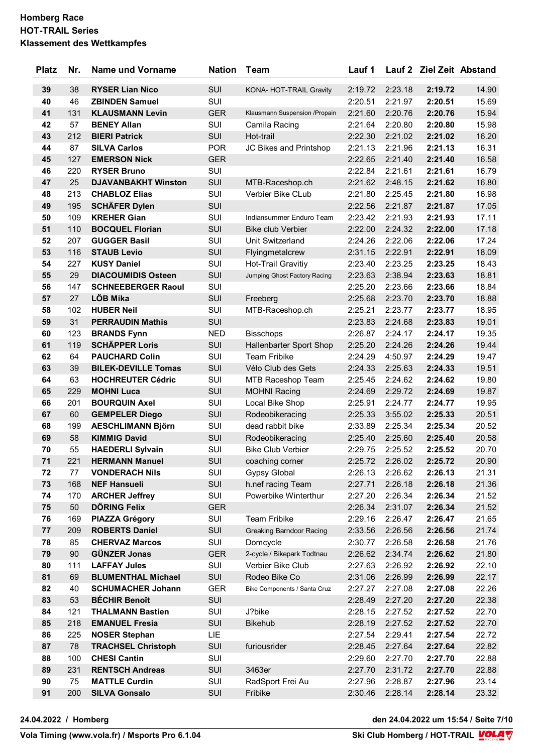| <b>Platz</b> | Nr. | <b>Name und Vorname</b>    | <b>Nation</b> | <b>Team</b>                     | Lauf 1  |         | Lauf 2 Ziel Zeit Abstand |       |
|--------------|-----|----------------------------|---------------|---------------------------------|---------|---------|--------------------------|-------|
| 39           | 38  | <b>RYSER Lian Nico</b>     | SUI           | KONA- HOT-TRAIL Gravity         | 2:19.72 | 2:23.18 | 2:19.72                  | 14.90 |
| 40           | 46  | <b>ZBINDEN Samuel</b>      | SUI           |                                 | 2:20.51 | 2:21.97 | 2:20.51                  | 15.69 |
| 41           | 131 | <b>KLAUSMANN Levin</b>     | <b>GER</b>    | Klausmann Suspension /Propain   | 2:21.60 | 2:20.76 | 2:20.76                  | 15.94 |
| 42           | 57  | <b>BENEY Allan</b>         | SUI           | Camila Racing                   | 2:21.64 | 2:20.80 | 2:20.80                  | 15.98 |
| 43           | 212 | <b>BIERI Patrick</b>       | SUI           | Hot-trail                       | 2:22.30 | 2:21.02 | 2:21.02                  | 16.20 |
| 44           | 87  | <b>SILVA Carlos</b>        | <b>POR</b>    | JC Bikes and Printshop          | 2:21.13 | 2:21.96 | 2:21.13                  | 16.31 |
| 45           | 127 | <b>EMERSON Nick</b>        | <b>GER</b>    |                                 | 2:22.65 | 2:21.40 | 2:21.40                  | 16.58 |
| 46           | 220 | <b>RYSER Bruno</b>         | SUI           |                                 | 2:22.84 | 2:21.61 | 2:21.61                  | 16.79 |
| 47           | 25  | <b>DJAVANBAKHT Winston</b> | SUI           | MTB-Raceshop.ch                 | 2:21.62 | 2:48.15 | 2:21.62                  | 16.80 |
| 48           | 213 | <b>CHABLOZ Elias</b>       | SUI           | Verbier Bike CLub               | 2:21.80 | 2:25.45 | 2:21.80                  | 16.98 |
| 49           | 195 | <b>SCHÄFER Dylen</b>       | SUI           |                                 | 2:22.56 | 2:21.87 | 2:21.87                  | 17.05 |
| 50           | 109 | <b>KREHER Gian</b>         | SUI           | Indiansummer Enduro Team        | 2:23.42 | 2:21.93 | 2:21.93                  | 17.11 |
| 51           | 110 | <b>BOCQUEL Florian</b>     | SUI           | <b>Bike club Verbier</b>        | 2:22.00 | 2:24.32 | 2:22.00                  | 17.18 |
| 52           | 207 | <b>GUGGER Basil</b>        | SUI           | Unit Switzerland                | 2:24.26 | 2:22.06 | 2:22.06                  | 17.24 |
| 53           | 116 | <b>STAUB Levio</b>         | SUI           | Flyingmetalcrew                 | 2:31.15 | 2:22.91 | 2:22.91                  | 18.09 |
| 54           | 227 | <b>KUSY Daniel</b>         | SUI           | Hot-Trail Gravitiy              | 2:23.40 | 2:23.25 | 2:23.25                  | 18.43 |
| 55           | 29  | <b>DIACOUMIDIS Osteen</b>  | SUI           | Jumping Ghost Factory Racing    | 2:23.63 | 2:38.94 | 2:23.63                  | 18.81 |
| 56           | 147 | <b>SCHNEEBERGER Raoul</b>  | SUI           |                                 | 2:25.20 | 2:23.66 | 2:23.66                  | 18.84 |
| 57           | 27  | <b>LÖB Mika</b>            | SUI           | Freeberg                        | 2:25.68 | 2:23.70 | 2:23.70                  | 18.88 |
| 58           | 102 | <b>HUBER Neil</b>          | SUI           | MTB-Raceshop.ch                 | 2:25.21 | 2:23.77 | 2:23.77                  | 18.95 |
| 59           | 31  | <b>PERRAUDIN Mathis</b>    | SUI           |                                 | 2:23.83 | 2:24.68 | 2:23.83                  | 19.01 |
| 60           | 123 | <b>BRANDS Fynn</b>         | <b>NED</b>    | <b>Bisschops</b>                | 2:26.87 | 2:24.17 | 2:24.17                  | 19.35 |
| 61           | 119 | <b>SCHÄPPER Loris</b>      | <b>SUI</b>    | Hallenbarter Sport Shop         | 2:25.20 | 2:24.26 | 2:24.26                  | 19.44 |
| 62           | 64  | <b>PAUCHARD Colin</b>      | SUI           | <b>Team Fribike</b>             | 2:24.29 | 4:50.97 | 2:24.29                  | 19.47 |
| 63           | 39  | <b>BILEK-DEVILLE Tomas</b> | SUI           | Vélo Club des Gets              | 2:24.33 | 2:25.63 | 2:24.33                  | 19.51 |
| 64           | 63  | <b>HOCHREUTER Cédric</b>   | SUI           | MTB Raceshop Team               | 2:25.45 | 2:24.62 | 2:24.62                  | 19.80 |
| 65           | 229 | <b>MOHNI Luca</b>          | SUI           | <b>MOHNI Racing</b>             | 2:24.69 | 2:29.72 | 2:24.69                  | 19.87 |
| 66           | 201 | <b>BOURQUIN Axel</b>       | SUI           | Local Bike Shop                 | 2:25.91 | 2:24.77 | 2:24.77                  | 19.95 |
| 67           | 60  | <b>GEMPELER Diego</b>      | <b>SUI</b>    | Rodeobikeracing                 | 2:25.33 | 3:55.02 | 2:25.33                  | 20.51 |
| 68           | 199 | <b>AESCHLIMANN Björn</b>   | SUI           | dead rabbit bike                | 2:33.89 | 2:25.34 | 2:25.34                  | 20.52 |
| 69           | 58  | <b>KIMMIG David</b>        | SUI           | Rodeobikeracing                 | 2:25.40 | 2:25.60 | 2:25.40                  | 20.58 |
| 70           | 55  | <b>HAEDERLI Sylvain</b>    | SUI           | <b>Bike Club Verbier</b>        | 2:29.75 | 2:25.52 | 2:25.52                  | 20.70 |
| 71           | 221 | <b>HERMANN Manuel</b>      | SUI           | coaching corner                 | 2:25.72 | 2:26.02 | 2:25.72                  | 20.90 |
| 72           | 77  | <b>VONDERACH Nils</b>      | SUI           | <b>Gypsy Global</b>             | 2:26.13 | 2:26.62 | 2:26.13                  | 21.31 |
| 73           | 168 | <b>NEF Hansueli</b>        | SUI           | h.nef racing Team               | 2:27.71 | 2:26.18 | 2:26.18                  | 21.36 |
| 74           | 170 | <b>ARCHER Jeffrey</b>      | SUI           | Powerbike Winterthur            | 2:27.20 | 2:26.34 | 2:26.34                  | 21.52 |
| 75           | 50  | DÖRING Felix               | <b>GER</b>    |                                 | 2:26.34 | 2:31.07 | 2:26.34                  | 21.52 |
| 76           | 169 | <b>PIAZZA Grégory</b>      | SUI           | Team Fribike                    | 2:29.16 | 2:26.47 | 2:26.47                  | 21.65 |
| 77           | 209 | <b>ROBERTS Daniel</b>      | SUI           | <b>Greaking Barndoor Racing</b> | 2:33.56 | 2:26.56 | 2:26.56                  | 21.74 |
| 78           | 85  | <b>CHERVAZ Marcos</b>      | SUI           | Domcycle                        | 2:30.77 | 2:26.58 | 2:26.58                  | 21.76 |
| 79           | 90  | <b>GÜNZER Jonas</b>        | <b>GER</b>    | 2-cycle / Bikepark Todtnau      | 2:26.62 | 2:34.74 | 2:26.62                  | 21.80 |
| 80           | 111 | <b>LAFFAY Jules</b>        | SUI           | Verbier Bike Club               | 2:27.63 | 2:26.92 | 2:26.92                  | 22.10 |
| 81           | 69  | <b>BLUMENTHAL Michael</b>  | SUI           | Rodeo Bike Co                   | 2:31.06 | 2:26.99 | 2:26.99                  | 22.17 |
| 82           | 40  | <b>SCHUMACHER Johann</b>   | <b>GER</b>    | Bike Components / Santa Cruz    | 2:27.27 | 2:27.08 | 2:27.08                  | 22.26 |
| 83           | 53  | <b>BÉCHIR Benoît</b>       | SUI           |                                 | 2:28.49 | 2:27.20 | 2:27.20                  | 22.38 |
| 84           | 121 | <b>THALMANN Bastien</b>    | SUI           | J?bike                          | 2:28.15 | 2:27.52 | 2:27.52                  | 22.70 |
| 85           | 218 | <b>EMANUEL Fresia</b>      | SUI           | <b>Bikehub</b>                  | 2:28.19 | 2:27.52 | 2:27.52                  | 22.70 |
| 86           | 225 | <b>NOSER Stephan</b>       | LIE.          |                                 | 2:27.54 | 2:29.41 | 2:27.54                  | 22.72 |
| 87           | 78  | <b>TRACHSEL Christoph</b>  | SUI           | furiousrider                    | 2:28.45 | 2:27.64 | 2:27.64                  | 22.82 |
| 88           | 100 | <b>CHESI Cantin</b>        | SUI           |                                 | 2:29.60 | 2:27.70 | 2:27.70                  | 22.88 |
| 89           | 231 | <b>RENTSCH Andreas</b>     | SUI           | 3463er                          | 2:27.70 | 2:31.72 | 2:27.70                  | 22.88 |
| 90           | 75  | <b>MATTLE Curdin</b>       | SUI           | RadSport Frei Au                | 2:27.96 | 2:28.87 | 2:27.96                  | 23.14 |
| 91           | 200 | <b>SILVA Gonsalo</b>       | SUI           | Fribike                         | 2:30.46 | 2:28.14 | 2:28.14                  | 23.32 |
|              |     |                            |               |                                 |         |         |                          |       |

**24.04.2022 / Homberg den 24.04.2022 um 15:54 / Seite 7/10**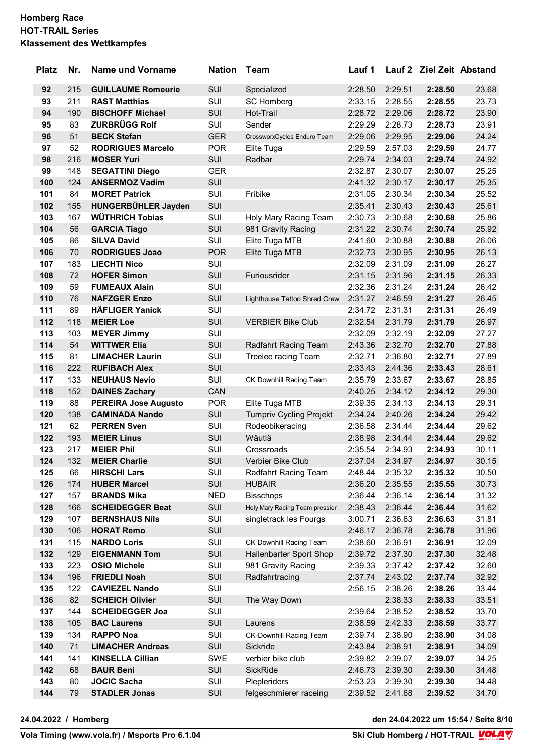| <b>Platz</b> | Nr. | <b>Name und Vorname</b>     | <b>Nation</b> | Team                           | Lauf 1  |         | Lauf 2 Ziel Zeit Abstand |       |
|--------------|-----|-----------------------------|---------------|--------------------------------|---------|---------|--------------------------|-------|
| 92           | 215 | <b>GUILLAUME Romeurie</b>   | <b>SUI</b>    | Specialized                    | 2:28.50 | 2:29.51 | 2:28.50                  | 23.68 |
| 93           | 211 | <b>RAST Matthias</b>        | SUI           | <b>SC Homberg</b>              | 2:33.15 | 2:28.55 | 2:28.55                  | 23.73 |
| 94           | 190 | <b>BISCHOFF Michael</b>     | SUI           | Hot-Trail                      | 2:28.72 | 2:29.06 | 2:28.72                  | 23.90 |
| 95           | 83  | <b>ZURBRÜGG Rolf</b>        | SUI           | Sender                         | 2:29.29 | 2:28.73 | 2:28.73                  | 23.91 |
| 96           | 51  | <b>BECK Stefan</b>          | <b>GER</b>    | CrossworxCycles Enduro Team    | 2:29.06 | 2:29.95 | 2:29.06                  | 24.24 |
| 97           | 52  | <b>RODRIGUES Marcelo</b>    | <b>POR</b>    | Elite Tuga                     | 2:29.59 | 2:57.03 | 2:29.59                  | 24.77 |
| 98           | 216 | <b>MOSER Yuri</b>           | SUI           | Radbar                         | 2:29.74 | 2:34.03 | 2:29.74                  | 24.92 |
| 99           | 148 | <b>SEGATTINI Diego</b>      | <b>GER</b>    |                                | 2:32.87 | 2:30.07 | 2:30.07                  | 25.25 |
| 100          | 124 | <b>ANSERMOZ Vadim</b>       | <b>SUI</b>    |                                | 2:41.32 | 2:30.17 | 2:30.17                  | 25.35 |
| 101          | 84  | <b>MORET Patrick</b>        | SUI           | Fribike                        | 2:31.05 | 2:30.34 | 2:30.34                  | 25.52 |
| 102          | 155 | HUNGERBÜHLER Jayden         | SUI           |                                | 2:35.41 | 2:30.43 | 2:30.43                  | 25.61 |
| 103          | 167 | <b>WÜTHRICH Tobias</b>      | SUI           | Holy Mary Racing Team          | 2:30.73 | 2:30.68 | 2:30.68                  | 25.86 |
| 104          | 56  | <b>GARCIA Tiago</b>         | SUI           | 981 Gravity Racing             | 2:31.22 | 2:30.74 | 2:30.74                  | 25.92 |
| 105          | 86  | <b>SILVA David</b>          | SUI           | Elite Tuga MTB                 | 2:41.60 | 2:30.88 | 2:30.88                  | 26.06 |
| 106          | 70  | <b>RODRIGUES Joao</b>       | <b>POR</b>    | Elite Tuga MTB                 | 2:32.73 | 2:30.95 | 2:30.95                  | 26.13 |
| 107          | 183 | <b>LIECHTI Nico</b>         | SUI           |                                | 2:32.09 | 2:31.09 | 2:31.09                  | 26.27 |
| 108          | 72  | <b>HOFER Simon</b>          | <b>SUI</b>    | Furiousrider                   | 2:31.15 | 2:31.96 | 2:31.15                  | 26.33 |
| 109          | 59  | <b>FUMEAUX Alain</b>        | SUI           |                                | 2:32.36 | 2:31.24 | 2:31.24                  | 26.42 |
| 110          | 76  | <b>NAFZGER Enzo</b>         | SUI           | Lighthouse Tattoo Shred Crew   | 2:31.27 | 2:46.59 | 2:31.27                  | 26.45 |
| 111          | 89  | <b>HÄFLIGER Yanick</b>      | SUI           |                                | 2:34.72 | 2:31.31 | 2:31.31                  | 26.49 |
| 112          | 118 | <b>MEIER Loe</b>            | SUI           | <b>VERBIER Bike Club</b>       | 2:32.54 | 2:31.79 | 2:31.79                  | 26.97 |
| 113          | 103 | <b>MEYER Jimmy</b>          | SUI           |                                | 2:32.09 | 2:32.19 | 2:32.09                  | 27.27 |
| 114          | 54  | <b>WITTWER Elia</b>         | <b>SUI</b>    | Radfahrt Racing Team           | 2:43.36 | 2:32.70 | 2:32.70                  | 27.88 |
| 115          | 81  | <b>LIMACHER Laurin</b>      | SUI           | Treelee racing Team            | 2:32.71 | 2:36.80 | 2:32.71                  | 27.89 |
| 116          | 222 | <b>RUFIBACH Alex</b>        | SUI           |                                | 2:33.43 | 2:44.36 | 2:33.43                  | 28.61 |
| 117          | 133 | <b>NEUHAUS Nevio</b>        | SUI           | CK Downhill Racing Team        | 2:35.79 | 2:33.67 | 2:33.67                  | 28.85 |
| 118          | 152 | <b>DAINES Zachary</b>       | CAN           |                                | 2:40.25 | 2:34.12 | 2:34.12                  | 29.30 |
| 119          | 88  | <b>PEREIRA Jose Augusto</b> | <b>POR</b>    | Elite Tuga MTB                 | 2:39.35 | 2:34.13 | 2:34.13                  | 29.31 |
| 120          | 138 | <b>CAMINADA Nando</b>       | SUI           | <b>Tumpriv Cycling Projekt</b> | 2:34.24 | 2:40.26 | 2:34.24                  | 29.42 |
| 121          | 62  | <b>PERREN Sven</b>          | SUI           | Rodeobikeracing                | 2:36.58 | 2:34.44 | 2:34.44                  | 29.62 |
| 122          | 193 | <b>MEIER Linus</b>          | SUI           | Wäutlä                         | 2:38.98 | 2:34.44 | 2:34.44                  | 29.62 |
| 123          | 217 | <b>MEIER Phil</b>           | SUI           | Crossroads                     | 2:35.54 | 2:34.93 | 2:34.93                  | 30.11 |
| 124          | 132 | <b>MEIER Charlie</b>        | SUI           | Verbier Bike Club              | 2:37.04 | 2:34.97 | 2:34.97                  | 30.15 |
| 125          | 66  | <b>HIRSCHI Lars</b>         | SUI           | Radfahrt Racing Team           | 2:48.44 | 2:35.32 | 2:35.32                  | 30.50 |
| 126          | 174 | <b>HUBER Marcel</b>         | SUI           | <b>HUBAIR</b>                  | 2:36.20 | 2:35.55 | 2:35.55                  | 30.73 |
| 127          | 157 | <b>BRANDS Mika</b>          | <b>NED</b>    | <b>Bisschops</b>               | 2:36.44 | 2:36.14 | 2:36.14                  | 31.32 |
| 128          | 166 | <b>SCHEIDEGGER Beat</b>     | SUI           | Holy Mary Racing Team pressier | 2:38.43 | 2:36.44 | 2:36.44                  | 31.62 |
| 129          | 107 | <b>BERNSHAUS Nils</b>       | SUI           | singletrack les Fourgs         | 3:00.71 | 2:36.63 | 2:36.63                  | 31.81 |
| 130          | 106 | <b>HORAT Remo</b>           | SUI           |                                | 2:46.17 | 2:36.78 | 2:36.78                  | 31.96 |
| 131          | 115 | <b>NARDO Loris</b>          | SUI           | CK Downhill Racing Team        | 2:38.60 | 2:36.91 | 2:36.91                  | 32.09 |
| 132          | 129 | <b>EIGENMANN Tom</b>        | SUI           | Hallenbarter Sport Shop        | 2:39.72 | 2:37.30 | 2:37.30                  | 32.48 |
| 133          | 223 | <b>OSIO Michele</b>         | SUI           | 981 Gravity Racing             | 2:39.33 | 2:37.42 | 2:37.42                  | 32.60 |
| 134          | 196 | <b>FRIEDLI Noah</b>         | SUI           | Radfahrtracing                 | 2:37.74 | 2:43.02 | 2:37.74                  | 32.92 |
| 135          | 122 | <b>CAVIEZEL Nando</b>       | SUI           |                                | 2:56.15 | 2:38.26 | 2:38.26                  | 33.44 |
| 136          | 82  | <b>SCHEICH Olivier</b>      | SUI           | The Way Down                   |         | 2:38.33 | 2:38.33                  | 33.51 |
| 137          | 144 | <b>SCHEIDEGGER Joa</b>      | SUI           |                                | 2:39.64 | 2:38.52 | 2:38.52                  | 33.70 |
| 138          | 105 | <b>BAC Laurens</b>          | SUI           | Laurens                        | 2:38.59 | 2:42.33 | 2:38.59                  | 33.77 |
| 139          | 134 | <b>RAPPO Noa</b>            | SUI           | CK-Downhill Racing Team        | 2:39.74 | 2:38.90 | 2:38.90                  | 34.08 |
| 140          | 71  | <b>LIMACHER Andreas</b>     | SUI           | Sickride                       | 2:43.84 | 2:38.91 | 2:38.91                  | 34.09 |
| 141          | 141 | <b>KINSELLA Cillian</b>     | SWE           | verbier bike club              | 2:39.82 | 2:39.07 | 2:39.07                  | 34.25 |
| 142          | 68  | <b>BAUR Beni</b>            | SUI           | SickRide                       | 2:46.73 | 2:39.30 | 2:39.30                  | 34.48 |
| 143          | 80  | <b>JOCIC Sacha</b>          | SUI           | Plepleriders                   | 2:53.23 | 2:39.30 | 2:39.30                  | 34.48 |
| 144          | 79  | <b>STADLER Jonas</b>        | SUI           | felgeschmierer raceing         | 2:39.52 | 2:41.68 | 2:39.52                  | 34.70 |
|              |     |                             |               |                                |         |         |                          |       |

**24.04.2022 / Homberg den 24.04.2022 um 15:54 / Seite 8/10**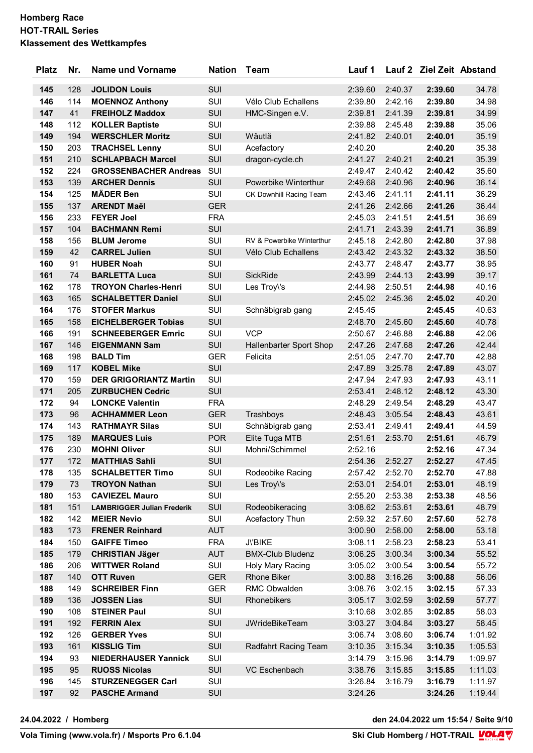| <b>Platz</b> | Nr. | <b>Name und Vorname</b>           | <b>Nation</b> | <b>Team</b>               | Lauf 1  |         | Lauf 2 Ziel Zeit Abstand |         |
|--------------|-----|-----------------------------------|---------------|---------------------------|---------|---------|--------------------------|---------|
| 145          | 128 | <b>JOLIDON Louis</b>              | <b>SUI</b>    |                           | 2:39.60 | 2:40.37 | 2:39.60                  | 34.78   |
| 146          | 114 | <b>MOENNOZ Anthony</b>            | SUI           | Vélo Club Echallens       | 2:39.80 | 2:42.16 | 2:39.80                  | 34.98   |
| 147          | 41  | <b>FREIHOLZ Maddox</b>            | SUI           | HMC-Singen e.V.           | 2:39.81 | 2:41.39 | 2:39.81                  | 34.99   |
| 148          | 112 | <b>KOLLER Baptiste</b>            | <b>SUI</b>    |                           | 2:39.88 | 2:45.48 | 2:39.88                  | 35.06   |
| 149          | 194 | <b>WERSCHLER Moritz</b>           | SUI           | Wäutlä                    | 2:41.82 | 2:40.01 | 2:40.01                  | 35.19   |
| 150          | 203 | <b>TRACHSEL Lenny</b>             | SUI           | Acefactory                | 2:40.20 |         | 2:40.20                  | 35.38   |
| 151          | 210 | <b>SCHLAPBACH Marcel</b>          | SUI           | dragon-cycle.ch           | 2:41.27 | 2:40.21 | 2:40.21                  | 35.39   |
| 152          | 224 | <b>GROSSENBACHER Andreas</b>      | SUI           |                           | 2:49.47 | 2:40.42 | 2:40.42                  | 35.60   |
| 153          | 139 | <b>ARCHER Dennis</b>              | <b>SUI</b>    | Powerbike Winterthur      | 2:49.68 | 2:40.96 | 2:40.96                  | 36.14   |
| 154          | 125 | <b>MÄDER Ben</b>                  | SUI           | CK Downhill Racing Team   | 2:43.46 | 2:41.11 | 2:41.11                  | 36.29   |
| 155          | 137 | <b>ARENDT Maël</b>                | <b>GER</b>    |                           | 2:41.26 | 2:42.66 | 2:41.26                  | 36.44   |
| 156          | 233 | <b>FEYER Joel</b>                 | <b>FRA</b>    |                           | 2:45.03 | 2:41.51 | 2:41.51                  | 36.69   |
| 157          | 104 | <b>BACHMANN Remi</b>              | SUI           |                           | 2:41.71 | 2:43.39 | 2:41.71                  | 36.89   |
| 158          | 156 | <b>BLUM Jerome</b>                | SUI           | RV & Powerbike Winterthur | 2:45.18 | 2:42.80 | 2:42.80                  | 37.98   |
| 159          | 42  | <b>CARREL Julien</b>              | <b>SUI</b>    | Vélo Club Echallens       | 2:43.42 | 2:43.32 | 2:43.32                  | 38.50   |
| 160          | 91  | <b>HUBER Noah</b>                 | SUI           |                           | 2:43.77 | 2:48.47 | 2:43.77                  | 38.95   |
| 161          | 74  | <b>BARLETTA Luca</b>              | SUI           | <b>SickRide</b>           | 2:43.99 | 2:44.13 | 2:43.99                  | 39.17   |
| 162          | 178 | <b>TROYON Charles-Henri</b>       | SUI           | Les Troy\'s               | 2:44.98 | 2:50.51 | 2:44.98                  | 40.16   |
| 163          | 165 | <b>SCHALBETTER Daniel</b>         | SUI           |                           | 2:45.02 | 2:45.36 | 2:45.02                  | 40.20   |
| 164          | 176 | <b>STOFER Markus</b>              | SUI           | Schnäbigrab gang          | 2:45.45 |         | 2:45.45                  | 40.63   |
| 165          | 158 | <b>EICHELBERGER Tobias</b>        | <b>SUI</b>    |                           | 2:48.70 | 2:45.60 | 2:45.60                  | 40.78   |
| 166          | 191 | <b>SCHNEEBERGER Emric</b>         | SUI           | <b>VCP</b>                | 2:50.67 | 2:46.88 | 2:46.88                  | 42.06   |
| 167          | 146 | <b>EIGENMANN Sam</b>              | SUI           | Hallenbarter Sport Shop   | 2:47.26 | 2:47.68 | 2:47.26                  | 42.44   |
| 168          | 198 | <b>BALD Tim</b>                   | <b>GER</b>    | Felicita                  | 2:51.05 | 2:47.70 | 2:47.70                  | 42.88   |
| 169          | 117 | <b>KOBEL Mike</b>                 | SUI           |                           | 2:47.89 | 3:25.78 | 2:47.89                  | 43.07   |
| 170          | 159 | <b>DER GRIGORIANTZ Martin</b>     | SUI           |                           | 2:47.94 | 2:47.93 | 2:47.93                  | 43.11   |
| 171          | 205 | <b>ZURBUCHEN Cedric</b>           | <b>SUI</b>    |                           | 2:53.41 | 2:48.12 | 2:48.12                  | 43.30   |
| 172          | 94  | <b>LONCKE Valentin</b>            | <b>FRA</b>    |                           | 2:48.29 | 2:49.54 | 2:48.29                  | 43.47   |
| 173          | 96  | <b>ACHHAMMER Leon</b>             | <b>GER</b>    | Trashboys                 | 2:48.43 | 3:05.54 | 2:48.43                  | 43.61   |
| 174          | 143 | <b>RATHMAYR Silas</b>             | SUI           | Schnäbigrab gang          | 2:53.41 | 2:49.41 | 2:49.41                  | 44.59   |
| 175          | 189 | <b>MARQUES Luis</b>               | <b>POR</b>    | Elite Tuga MTB            | 2:51.61 | 2:53.70 | 2:51.61                  | 46.79   |
| 176          | 230 | <b>MOHNI Oliver</b>               | SUI           | Mohni/Schimmel            | 2:52.16 |         | 2:52.16                  | 47.34   |
| 177          | 172 | <b>MATTHIAS Sahli</b>             | SUI           |                           | 2:54.36 | 2:52.27 | 2:52.27                  | 47.45   |
| 178          | 135 | <b>SCHALBETTER Timo</b>           | SUI           | Rodeobike Racing          | 2:57.42 | 2:52.70 | 2:52.70                  | 47.88   |
| 179          | 73  | <b>TROYON Nathan</b>              | SUI           | Les Troy\'s               | 2:53.01 | 2:54.01 | 2:53.01                  | 48.19   |
| 180          | 153 | <b>CAVIEZEL Mauro</b>             | SUI           |                           | 2:55.20 | 2:53.38 | 2:53.38                  | 48.56   |
| 181          | 151 | <b>LAMBRIGGER Julian Frederik</b> | SUI           | Rodeobikeracing           | 3:08.62 | 2:53.61 | 2:53.61                  | 48.79   |
| 182          | 142 | <b>MEIER Nevio</b>                | SUI           | Acefactory Thun           | 2:59.32 | 2:57.60 | 2:57.60                  | 52.78   |
| 183          | 173 | <b>FRENER Reinhard</b>            | <b>AUT</b>    |                           | 3:00.90 | 2:58.00 | 2:58.00                  | 53.18   |
| 184          | 150 | <b>GAIFFE Timeo</b>               | <b>FRA</b>    | J\'BIKE                   | 3:08.11 | 2:58.23 | 2:58.23                  | 53.41   |
| 185          | 179 | <b>CHRISTIAN Jäger</b>            | <b>AUT</b>    | <b>BMX-Club Bludenz</b>   | 3:06.25 | 3:00.34 | 3:00.34                  | 55.52   |
| 186          | 206 | <b>WITTWER Roland</b>             | SUI           | Holy Mary Racing          | 3:05.02 | 3:00.54 | 3:00.54                  | 55.72   |
| 187          | 140 | <b>OTT Ruven</b>                  | <b>GER</b>    | <b>Rhone Biker</b>        | 3:00.88 | 3:16.26 | 3:00.88                  | 56.06   |
| 188          | 149 | <b>SCHREIBER Finn</b>             | <b>GER</b>    | RMC Obwalden              | 3:08.76 | 3:02.15 | 3:02.15                  | 57.33   |
| 189          | 136 | <b>JOSSEN Lias</b>                | SUI           | Rhonebikers               | 3:05.17 | 3:02.59 | 3:02.59                  | 57.77   |
| 190          | 108 | <b>STEINER Paul</b>               | SUI           |                           | 3:10.68 | 3:02.85 | 3:02.85                  | 58.03   |
| 191          | 192 | <b>FERRIN Alex</b>                | SUI           | <b>JWrideBikeTeam</b>     | 3:03.27 | 3:04.84 | 3:03.27                  | 58.45   |
| 192          | 126 | <b>GERBER Yves</b>                | SUI           |                           | 3:06.74 | 3:08.60 | 3:06.74                  | 1:01.92 |
| 193          | 161 | <b>KISSLIG Tim</b>                | SUI           | Radfahrt Racing Team      | 3:10.35 | 3:15.34 | 3:10.35                  | 1:05.53 |
| 194          | 93  | <b>NIEDERHAUSER Yannick</b>       | SUI           |                           | 3:14.79 | 3:15.96 | 3:14.79                  | 1:09.97 |
| 195          | 95  | <b>RUOSS Nicolas</b>              | SUI           | VC Eschenbach             | 3:38.76 | 3:15.85 | 3:15.85                  | 1:11.03 |
| 196          | 145 | <b>STURZENEGGER Carl</b>          | SUI           |                           | 3:26.84 | 3:16.79 | 3:16.79                  | 1:11.97 |
| 197          | 92  | <b>PASCHE Armand</b>              | SUI           |                           | 3:24.26 |         | 3:24.26                  | 1:19.44 |

**24.04.2022 / Homberg den 24.04.2022 um 15:54 / Seite 9/10**